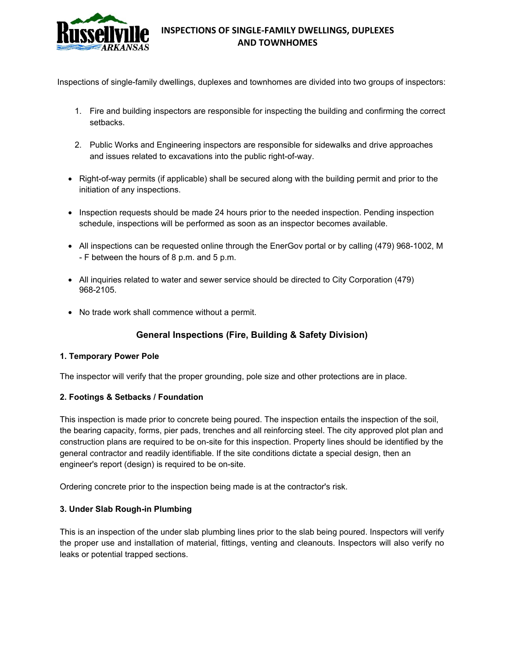

# **INSPECTIONS OF SINGLE-FAMILY DWELLINGS, DUPLEXES AND TOWNHOMES**

Inspections of single-family dwellings, duplexes and townhomes are divided into two groups of inspectors:

- 1. Fire and building inspectors are responsible for inspecting the building and confirming the correct setbacks.
- 2. Public Works and Engineering inspectors are responsible for sidewalks and drive approaches and issues related to excavations into the public right-of-way.
- Right-of-way permits (if applicable) shall be secured along with the building permit and prior to the initiation of any inspections.
- Inspection requests should be made 24 hours prior to the needed inspection. Pending inspection schedule, inspections will be performed as soon as an inspector becomes available.
- All inspections can be requested online through the EnerGov portal or by calling (479) 968-1002, M - F between the hours of 8 p.m. and 5 p.m.
- All inquiries related to water and sewer service should be directed to City Corporation (479) 968-2105.
- No trade work shall commence without a permit.

# **General Inspections (Fire, Building & Safety Division)**

#### **1. Temporary Power Pole**

The inspector will verify that the proper grounding, pole size and other protections are in place.

### **2. Footings & Setbacks / Foundation**

This inspection is made prior to concrete being poured. The inspection entails the inspection of the soil, the bearing capacity, forms, pier pads, trenches and all reinforcing steel. The city approved plot plan and construction plans are required to be on-site for this inspection. Property lines should be identified by the general contractor and readily identifiable. If the site conditions dictate a special design, then an engineer's report (design) is required to be on-site.

Ordering concrete prior to the inspection being made is at the contractor's risk.

### **3. Under Slab Rough-in Plumbing**

This is an inspection of the under slab plumbing lines prior to the slab being poured. Inspectors will verify the proper use and installation of material, fittings, venting and cleanouts. Inspectors will also verify no leaks or potential trapped sections.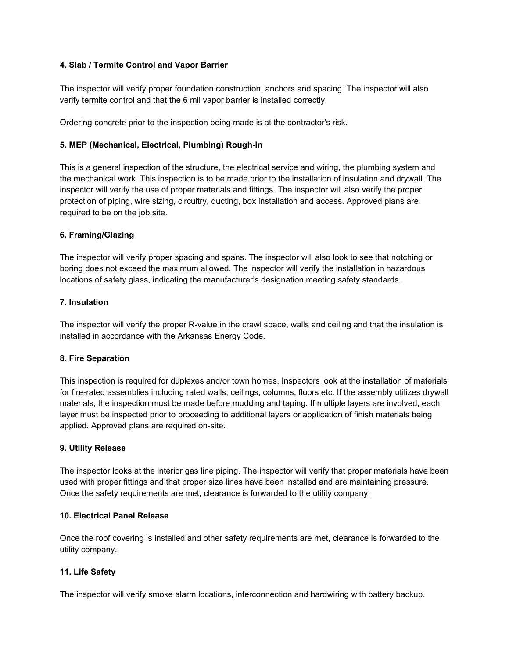### **4. Slab / Termite Control and Vapor Barrier**

The inspector will verify proper foundation construction, anchors and spacing. The inspector will also verify termite control and that the 6 mil vapor barrier is installed correctly.

Ordering concrete prior to the inspection being made is at the contractor's risk.

## **5. MEP (Mechanical, Electrical, Plumbing) Rough-in**

This is a general inspection of the structure, the electrical service and wiring, the plumbing system and the mechanical work. This inspection is to be made prior to the installation of insulation and drywall. The inspector will verify the use of proper materials and fittings. The inspector will also verify the proper protection of piping, wire sizing, circuitry, ducting, box installation and access. Approved plans are required to be on the job site.

### **6. Framing/Glazing**

The inspector will verify proper spacing and spans. The inspector will also look to see that notching or boring does not exceed the maximum allowed. The inspector will verify the installation in hazardous locations of safety glass, indicating the manufacturer's designation meeting safety standards.

### **7. Insulation**

The inspector will verify the proper R-value in the crawl space, walls and ceiling and that the insulation is installed in accordance with the Arkansas Energy Code.

### **8. Fire Separation**

This inspection is required for duplexes and/or town homes. Inspectors look at the installation of materials for fire-rated assemblies including rated walls, ceilings, columns, floors etc. If the assembly utilizes drywall materials, the inspection must be made before mudding and taping. If multiple layers are involved, each layer must be inspected prior to proceeding to additional layers or application of finish materials being applied. Approved plans are required on-site.

### **9. Utility Release**

The inspector looks at the interior gas line piping. The inspector will verify that proper materials have been used with proper fittings and that proper size lines have been installed and are maintaining pressure. Once the safety requirements are met, clearance is forwarded to the utility company.

### **10. Electrical Panel Release**

Once the roof covering is installed and other safety requirements are met, clearance is forwarded to the utility company.

# **11. Life Safety**

The inspector will verify smoke alarm locations, interconnection and hardwiring with battery backup.